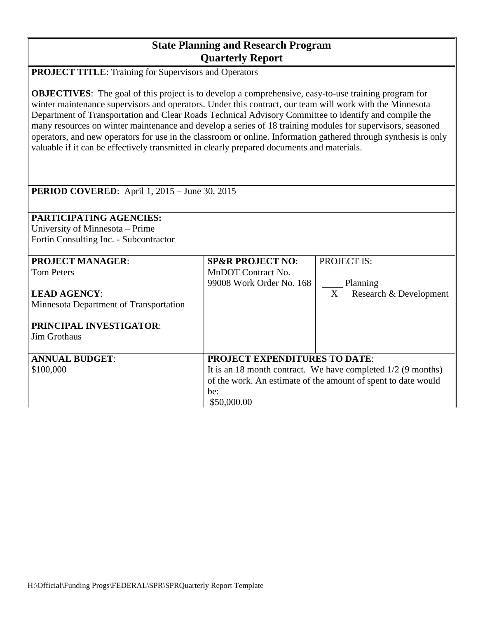## **State Planning and Research Program Quarterly Report**

**PROJECT TITLE**: Training for Supervisors and Operators

**OBJECTIVES:** The goal of this project is to develop a comprehensive, easy-to-use training program for winter maintenance supervisors and operators. Under this contract, our team will work with the Minnesota Department of Transportation and Clear Roads Technical Advisory Committee to identify and compile the many resources on winter maintenance and develop a series of 18 training modules for supervisors, seasoned operators, and new operators for use in the classroom or online. Information gathered through synthesis is only valuable if it can be effectively transmitted in clearly prepared documents and materials.

| <b>PERIOD COVERED:</b> April 1, $2015 - \text{June } 30, 2015$                                                                                                         |                                                                                                                                                                                               |                                                            |
|------------------------------------------------------------------------------------------------------------------------------------------------------------------------|-----------------------------------------------------------------------------------------------------------------------------------------------------------------------------------------------|------------------------------------------------------------|
| <b>PARTICIPATING AGENCIES:</b>                                                                                                                                         |                                                                                                                                                                                               |                                                            |
| University of Minnesota – Prime                                                                                                                                        |                                                                                                                                                                                               |                                                            |
| Fortin Consulting Inc. - Subcontractor                                                                                                                                 |                                                                                                                                                                                               |                                                            |
| <b>PROJECT MANAGER:</b><br><b>Tom Peters</b><br><b>LEAD AGENCY:</b><br>Minnesota Department of Transportation<br><b>PRINCIPAL INVESTIGATOR:</b><br><b>Jim Grothaus</b> | <b>SP&amp;R PROJECT NO:</b><br>MnDOT Contract No.<br>99008 Work Order No. 168                                                                                                                 | <b>PROJECT IS:</b><br>Planning<br>X Research & Development |
| <b>ANNUAL BUDGET:</b><br>\$100,000                                                                                                                                     | <b>PROJECT EXPENDITURES TO DATE:</b><br>It is an 18 month contract. We have completed $1/2$ (9 months)<br>of the work. An estimate of the amount of spent to date would<br>be:<br>\$50,000.00 |                                                            |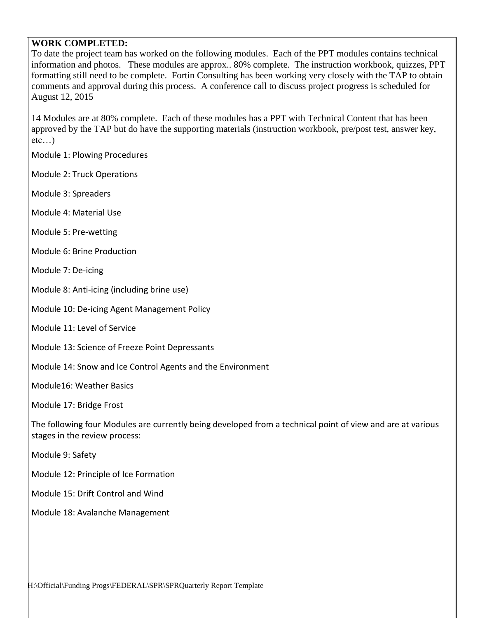## **WORK COMPLETED:**

To date the project team has worked on the following modules. Each of the PPT modules contains technical information and photos. These modules are approx.. 80% complete. The instruction workbook, quizzes, PPT formatting still need to be complete. Fortin Consulting has been working very closely with the TAP to obtain comments and approval during this process. A conference call to discuss project progress is scheduled for August 12, 2015

14 Modules are at 80% complete. Each of these modules has a PPT with Technical Content that has been approved by the TAP but do have the supporting materials (instruction workbook, pre/post test, answer key,  $etc...$ )

Module 1: Plowing Procedures

- Module 2: Truck Operations
- Module 3: Spreaders
- Module 4: Material Use
- Module 5: Pre-wetting
- Module 6: Brine Production
- Module 7: De-icing
- Module 8: Anti-icing (including brine use)
- Module 10: De-icing Agent Management Policy
- Module 11: Level of Service
- Module 13: Science of Freeze Point Depressants
- Module 14: Snow and Ice Control Agents and the Environment
- Module16: Weather Basics
- Module 17: Bridge Frost

The following four Modules are currently being developed from a technical point of view and are at various stages in the review process:

Module 9: Safety

- Module 12: Principle of Ice Formation
- Module 15: Drift Control and Wind
- Module 18: Avalanche Management